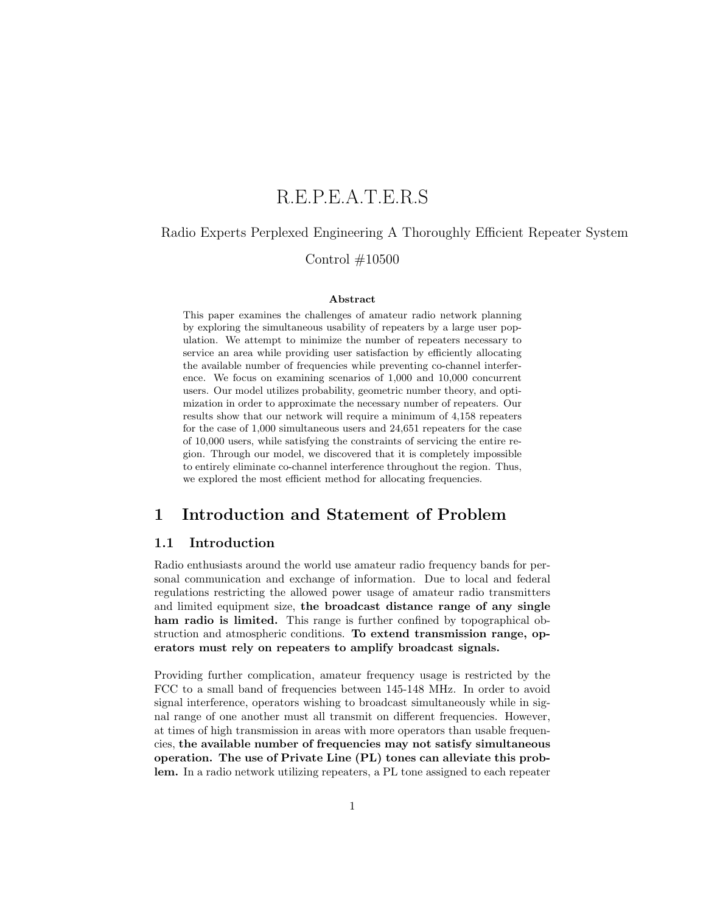# R.E.P.E.A.T.E.R.S

## Radio Experts Perplexed Engineering A Thoroughly Efficient Repeater System

## Control #10500

### Abstract

This paper examines the challenges of amateur radio network planning by exploring the simultaneous usability of repeaters by a large user population. We attempt to minimize the number of repeaters necessary to service an area while providing user satisfaction by efficiently allocating the available number of frequencies while preventing co-channel interference. We focus on examining scenarios of 1,000 and 10,000 concurrent users. Our model utilizes probability, geometric number theory, and optimization in order to approximate the necessary number of repeaters. Our results show that our network will require a minimum of 4,158 repeaters for the case of 1,000 simultaneous users and 24,651 repeaters for the case of 10,000 users, while satisfying the constraints of servicing the entire region. Through our model, we discovered that it is completely impossible to entirely eliminate co-channel interference throughout the region. Thus, we explored the most efficient method for allocating frequencies.

## 1 Introduction and Statement of Problem

### 1.1 Introduction

Radio enthusiasts around the world use amateur radio frequency bands for personal communication and exchange of information. Due to local and federal regulations restricting the allowed power usage of amateur radio transmitters and limited equipment size, the broadcast distance range of any single ham radio is limited. This range is further confined by topographical obstruction and atmospheric conditions. To extend transmission range, operators must rely on repeaters to amplify broadcast signals.

Providing further complication, amateur frequency usage is restricted by the FCC to a small band of frequencies between 145-148 MHz. In order to avoid signal interference, operators wishing to broadcast simultaneously while in signal range of one another must all transmit on different frequencies. However, at times of high transmission in areas with more operators than usable frequencies, the available number of frequencies may not satisfy simultaneous operation. The use of Private Line (PL) tones can alleviate this problem. In a radio network utilizing repeaters, a PL tone assigned to each repeater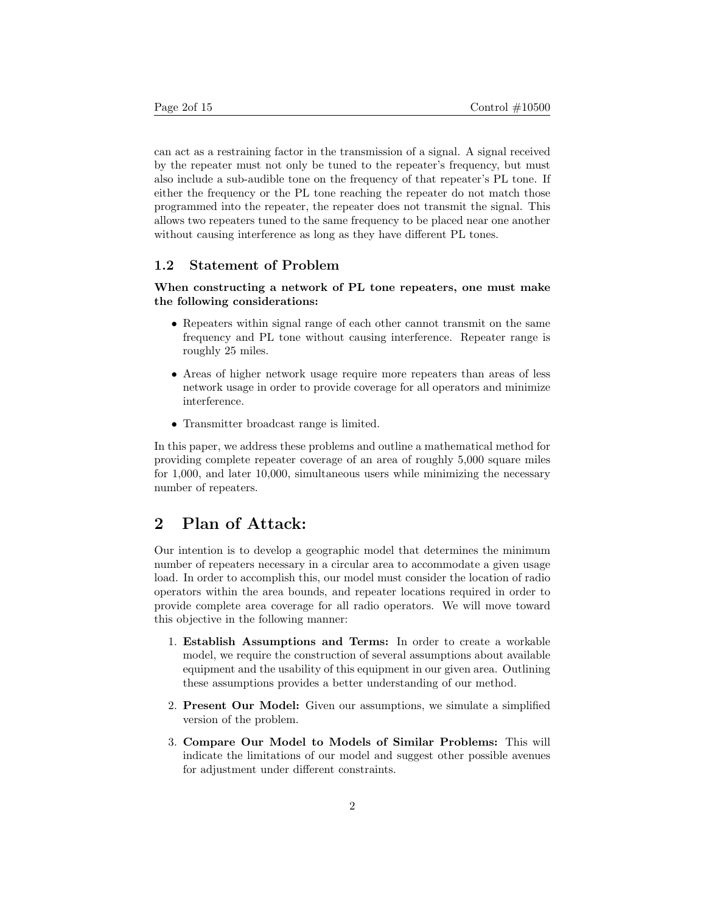can act as a restraining factor in the transmission of a signal. A signal received by the repeater must not only be tuned to the repeater's frequency, but must also include a sub-audible tone on the frequency of that repeater's PL tone. If either the frequency or the PL tone reaching the repeater do not match those programmed into the repeater, the repeater does not transmit the signal. This allows two repeaters tuned to the same frequency to be placed near one another without causing interference as long as they have different PL tones.

## 1.2 Statement of Problem

When constructing a network of PL tone repeaters, one must make the following considerations:

- Repeaters within signal range of each other cannot transmit on the same frequency and PL tone without causing interference. Repeater range is roughly 25 miles.
- Areas of higher network usage require more repeaters than areas of less network usage in order to provide coverage for all operators and minimize interference.
- Transmitter broadcast range is limited.

In this paper, we address these problems and outline a mathematical method for providing complete repeater coverage of an area of roughly 5,000 square miles for 1,000, and later 10,000, simultaneous users while minimizing the necessary number of repeaters.

## 2 Plan of Attack:

Our intention is to develop a geographic model that determines the minimum number of repeaters necessary in a circular area to accommodate a given usage load. In order to accomplish this, our model must consider the location of radio operators within the area bounds, and repeater locations required in order to provide complete area coverage for all radio operators. We will move toward this objective in the following manner:

- 1. Establish Assumptions and Terms: In order to create a workable model, we require the construction of several assumptions about available equipment and the usability of this equipment in our given area. Outlining these assumptions provides a better understanding of our method.
- 2. Present Our Model: Given our assumptions, we simulate a simplified version of the problem.
- 3. Compare Our Model to Models of Similar Problems: This will indicate the limitations of our model and suggest other possible avenues for adjustment under different constraints.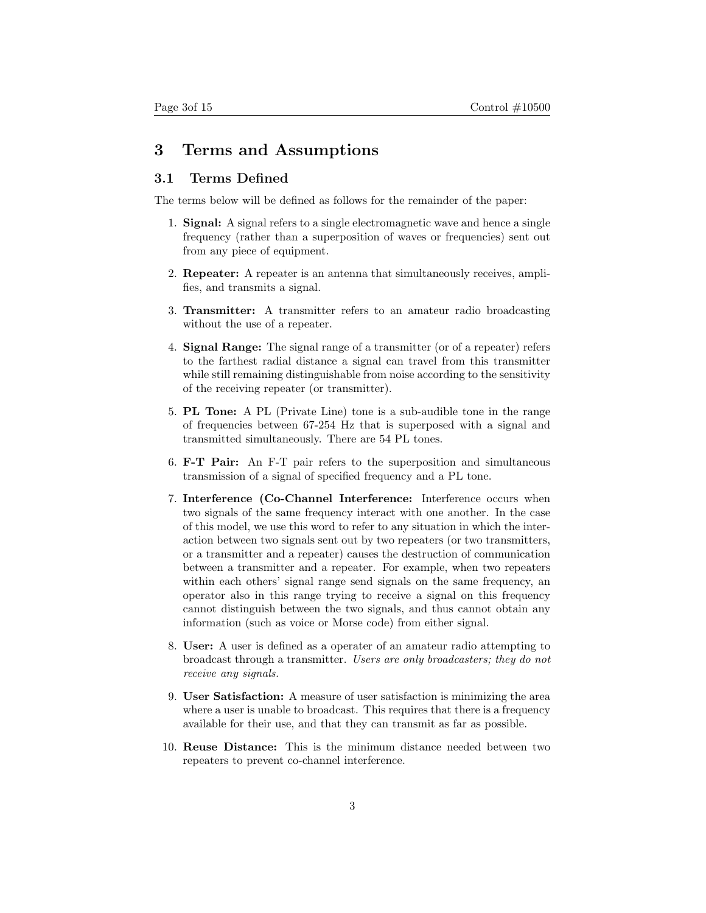## 3 Terms and Assumptions

## 3.1 Terms Defined

The terms below will be defined as follows for the remainder of the paper:

- 1. Signal: A signal refers to a single electromagnetic wave and hence a single frequency (rather than a superposition of waves or frequencies) sent out from any piece of equipment.
- 2. Repeater: A repeater is an antenna that simultaneously receives, amplifies, and transmits a signal.
- 3. Transmitter: A transmitter refers to an amateur radio broadcasting without the use of a repeater.
- 4. Signal Range: The signal range of a transmitter (or of a repeater) refers to the farthest radial distance a signal can travel from this transmitter while still remaining distinguishable from noise according to the sensitivity of the receiving repeater (or transmitter).
- 5. PL Tone: A PL (Private Line) tone is a sub-audible tone in the range of frequencies between 67-254 Hz that is superposed with a signal and transmitted simultaneously. There are 54 PL tones.
- 6. F-T Pair: An F-T pair refers to the superposition and simultaneous transmission of a signal of specified frequency and a PL tone.
- 7. Interference (Co-Channel Interference: Interference occurs when two signals of the same frequency interact with one another. In the case of this model, we use this word to refer to any situation in which the interaction between two signals sent out by two repeaters (or two transmitters, or a transmitter and a repeater) causes the destruction of communication between a transmitter and a repeater. For example, when two repeaters within each others' signal range send signals on the same frequency, an operator also in this range trying to receive a signal on this frequency cannot distinguish between the two signals, and thus cannot obtain any information (such as voice or Morse code) from either signal.
- 8. User: A user is defined as a operater of an amateur radio attempting to broadcast through a transmitter. Users are only broadcasters; they do not receive any signals.
- 9. User Satisfaction: A measure of user satisfaction is minimizing the area where a user is unable to broadcast. This requires that there is a frequency available for their use, and that they can transmit as far as possible.
- 10. Reuse Distance: This is the minimum distance needed between two repeaters to prevent co-channel interference.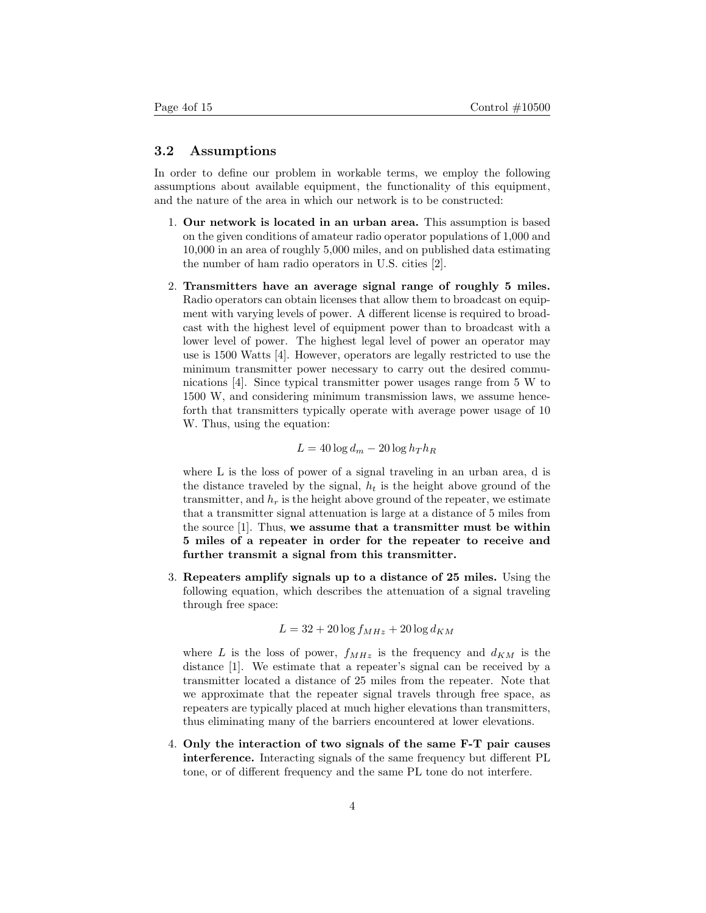### 3.2 Assumptions

In order to define our problem in workable terms, we employ the following assumptions about available equipment, the functionality of this equipment, and the nature of the area in which our network is to be constructed:

- 1. Our network is located in an urban area. This assumption is based on the given conditions of amateur radio operator populations of 1,000 and 10,000 in an area of roughly 5,000 miles, and on published data estimating the number of ham radio operators in U.S. cities [2].
- 2. Transmitters have an average signal range of roughly 5 miles. Radio operators can obtain licenses that allow them to broadcast on equipment with varying levels of power. A different license is required to broadcast with the highest level of equipment power than to broadcast with a lower level of power. The highest legal level of power an operator may use is 1500 Watts [4]. However, operators are legally restricted to use the minimum transmitter power necessary to carry out the desired communications [4]. Since typical transmitter power usages range from 5 W to 1500 W, and considering minimum transmission laws, we assume henceforth that transmitters typically operate with average power usage of 10 W. Thus, using the equation:

$$
L = 40 \log d_m - 20 \log h_T h_R
$$

where L is the loss of power of a signal traveling in an urban area, d is the distance traveled by the signal,  $h_t$  is the height above ground of the transmitter, and  $h_r$  is the height above ground of the repeater, we estimate that a transmitter signal attenuation is large at a distance of 5 miles from the source [1]. Thus, we assume that a transmitter must be within 5 miles of a repeater in order for the repeater to receive and further transmit a signal from this transmitter.

3. Repeaters amplify signals up to a distance of 25 miles. Using the following equation, which describes the attenuation of a signal traveling through free space:

$$
L = 32 + 20 \log f_{MHz} + 20 \log d_{KM}
$$

where L is the loss of power,  $f_{MHz}$  is the frequency and  $d_{KM}$  is the distance [1]. We estimate that a repeater's signal can be received by a transmitter located a distance of 25 miles from the repeater. Note that we approximate that the repeater signal travels through free space, as repeaters are typically placed at much higher elevations than transmitters, thus eliminating many of the barriers encountered at lower elevations.

4. Only the interaction of two signals of the same F-T pair causes interference. Interacting signals of the same frequency but different PL tone, or of different frequency and the same PL tone do not interfere.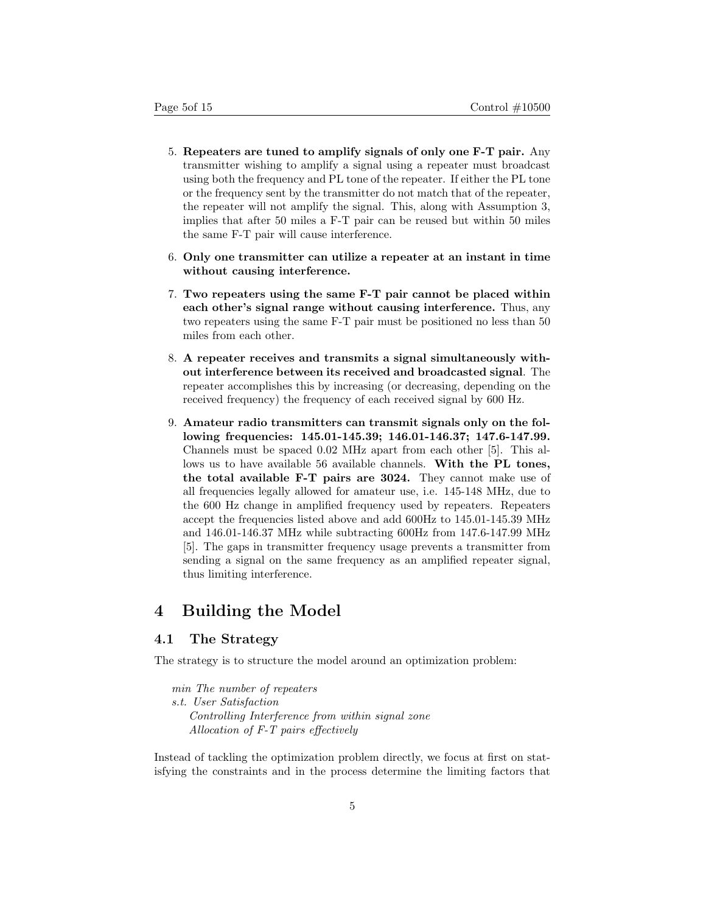- 5. Repeaters are tuned to amplify signals of only one F-T pair. Any transmitter wishing to amplify a signal using a repeater must broadcast using both the frequency and PL tone of the repeater. If either the PL tone or the frequency sent by the transmitter do not match that of the repeater, the repeater will not amplify the signal. This, along with Assumption 3, implies that after 50 miles a F-T pair can be reused but within 50 miles the same F-T pair will cause interference.
- 6. Only one transmitter can utilize a repeater at an instant in time without causing interference.
- 7. Two repeaters using the same F-T pair cannot be placed within each other's signal range without causing interference. Thus, any two repeaters using the same F-T pair must be positioned no less than 50 miles from each other.
- 8. A repeater receives and transmits a signal simultaneously without interference between its received and broadcasted signal. The repeater accomplishes this by increasing (or decreasing, depending on the received frequency) the frequency of each received signal by 600 Hz.
- 9. Amateur radio transmitters can transmit signals only on the following frequencies: 145.01-145.39; 146.01-146.37; 147.6-147.99. Channels must be spaced 0.02 MHz apart from each other [5]. This allows us to have available 56 available channels. With the PL tones, the total available F-T pairs are 3024. They cannot make use of all frequencies legally allowed for amateur use, i.e. 145-148 MHz, due to the 600 Hz change in amplified frequency used by repeaters. Repeaters accept the frequencies listed above and add 600Hz to 145.01-145.39 MHz and 146.01-146.37 MHz while subtracting 600Hz from 147.6-147.99 MHz [5]. The gaps in transmitter frequency usage prevents a transmitter from sending a signal on the same frequency as an amplified repeater signal, thus limiting interference.

## 4 Building the Model

## 4.1 The Strategy

The strategy is to structure the model around an optimization problem:

min The number of repeaters s.t. User Satisfaction Controlling Interference from within signal zone Allocation of F-T pairs effectively

Instead of tackling the optimization problem directly, we focus at first on statisfying the constraints and in the process determine the limiting factors that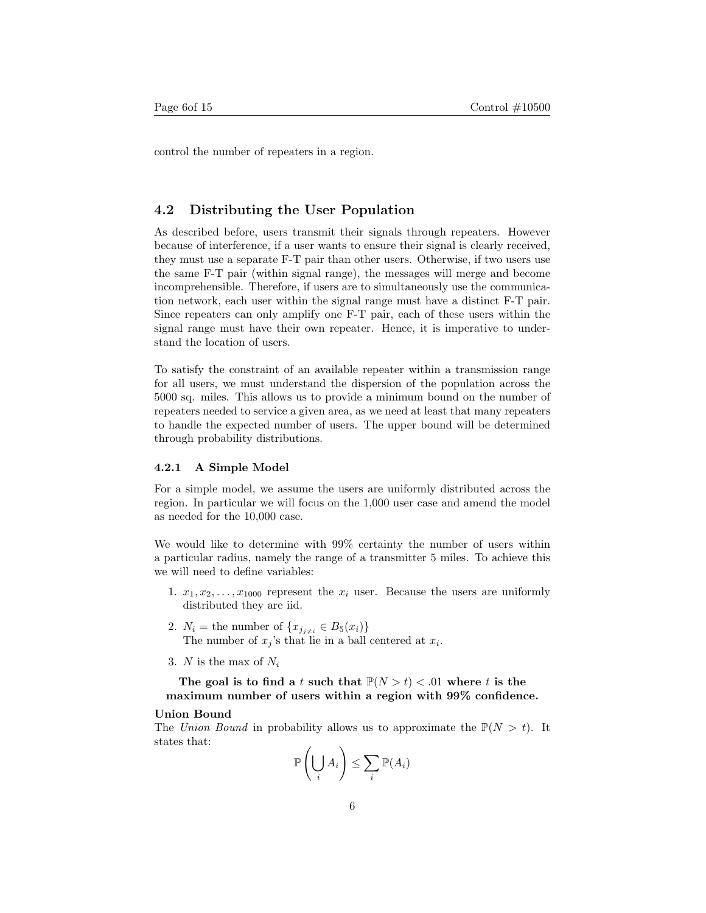control the number of repeaters in a region.

#### 4.2 Distributing the User Population

As described before, users transmit their signals through repeaters. However because of interference, if a user wants to ensure their signal is clearly received, they must use a separate F-T pair than other users. Otherwise, if two users use the same F-T pair (within signal range), the messages will merge and become incomprehensible. Therefore, if users are to simultaneously use the communication network, each user within the signal range must have a distinct F-T pair. Since repeaters can only amplify one F-T pair, each of these users within the signal range must have their own repeater. Hence, it is imperative to understand the location of users.

To satisfy the constraint of an available repeater within a transmission range for all users, we must understand the dispersion of the population across the 5000 sq. miles. This allows us to provide a minimum bound on the number of repeaters needed to service a given area, as we need at least that many repeaters to handle the expected number of users. The upper bound will be determined through probability distributions.

#### 4.2.1 A Simple Model

For a simple model, we assume the users are uniformly distributed across the region. In particular we will focus on the 1,000 user case and amend the model as needed for the 10,000 case.

We would like to determine with 99% certainty the number of users within a particular radius, namely the range of a transmitter 5 miles. To achieve this we will need to define variables:

- 1.  $x_1, x_2, \ldots, x_{1000}$  represent the  $x_i$  user. Because the users are uniformly distributed they are iid.
- 2.  $N_i$  = the number of  $\{x_{j_{j\neq i}} \in B_5(x_i)\}\$ The number of  $x_j$ 's that lie in a ball centered at  $x_i$ .
- 3. N is the max of  $N_i$

The goal is to find a t such that  $P(N > t) < .01$  where t is the maximum number of users within a region with 99% confidence.

#### Union Bound

The Union Bound in probability allows us to approximate the  $\mathbb{P}(N > t)$ . It states that:

$$
\mathbb{P}\left(\bigcup_{i} A_{i}\right) \leq \sum_{i} \mathbb{P}(A_{i})
$$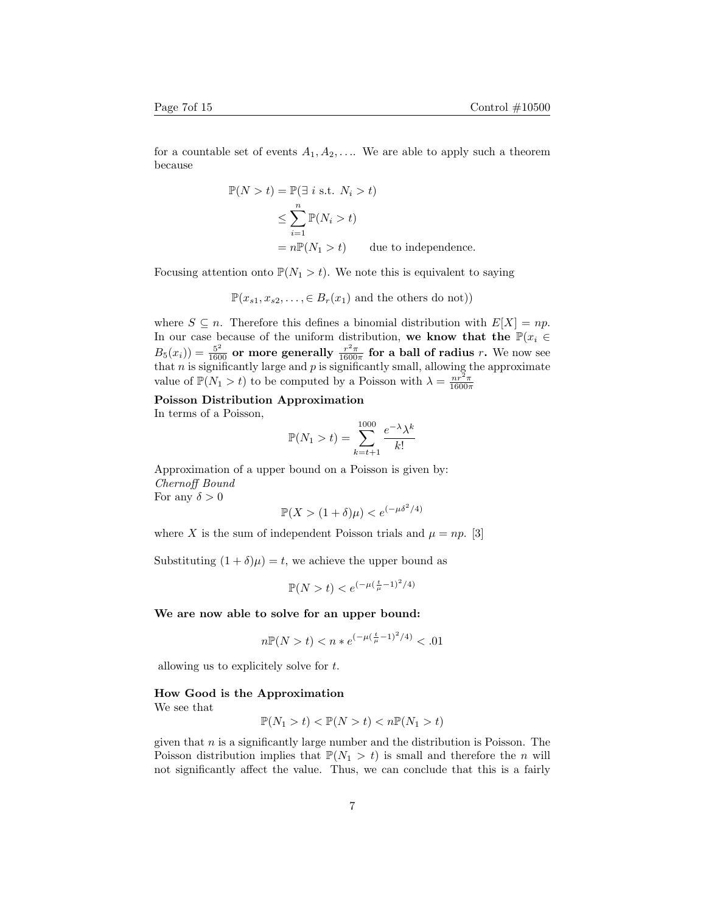for a countable set of events  $A_1, A_2, \ldots$  We are able to apply such a theorem because

$$
\mathbb{P}(N > t) = \mathbb{P}(\exists i \text{ s.t. } N_i > t)
$$
  
\n
$$
\leq \sum_{i=1}^{n} \mathbb{P}(N_i > t)
$$
  
\n
$$
= n \mathbb{P}(N_1 > t) \qquad \text{due to independence.}
$$

Focusing attention onto  $\mathbb{P}(N_1 > t)$ . We note this is equivalent to saying

$$
\mathbb{P}(x_{s1}, x_{s2}, \ldots, \in B_r(x_1)
$$
 and the others do not))

where  $S \subseteq n$ . Therefore this defines a binomial distribution with  $E[X] = np$ . In our case because of the uniform distribution, we know that the  $\mathbb{P}(x_i \in$  $B_5(x_i)$ ) =  $\frac{5^2}{1600}$  or more generally  $\frac{r^2 \pi}{1600 \pi}$  for a ball of radius r. We now see that  $n$  is significantly large and  $p$  is significantly small, allowing the approximate value of  $\mathbb{P}(N_1 > t)$  to be computed by a Poisson with  $\lambda = \frac{nr^2\pi}{1600\pi}$ 

Poisson Distribution Approximation

In terms of a Poisson,

$$
\mathbb{P}(N_1 > t) = \sum_{k=t+1}^{1000} \frac{e^{-\lambda} \lambda^k}{k!}
$$

Approximation of a upper bound on a Poisson is given by: Chernoff Bound

For any  $\delta > 0$ 

$$
\mathbb{P}(X > (1+\delta)\mu) < e^{(-\mu \delta^2/4)}
$$

where X is the sum of independent Poisson trials and  $\mu = np$ . [3]

Substituting  $(1 + \delta)\mu$  = t, we achieve the upper bound as

$$
\mathbb{P}(N > t) < e^{(-\mu(\frac{t}{\mu} - 1)^2/4)}
$$

We are now able to solve for an upper bound:

$$
n\mathbb{P}(N>t) < n \cdot e^{(-\mu(\frac{t}{\mu}-1)^2/4)} < .01
$$

allowing us to explicitely solve for  $t$ .

#### How Good is the Approximation

We see that

$$
\mathbb{P}(N_1 > t) < \mathbb{P}(N > t) < n\mathbb{P}(N_1 > t)
$$

given that  $n$  is a significantly large number and the distribution is Poisson. The Poisson distribution implies that  $\mathbb{P}(N_1 > t)$  is small and therefore the *n* will not significantly affect the value. Thus, we can conclude that this is a fairly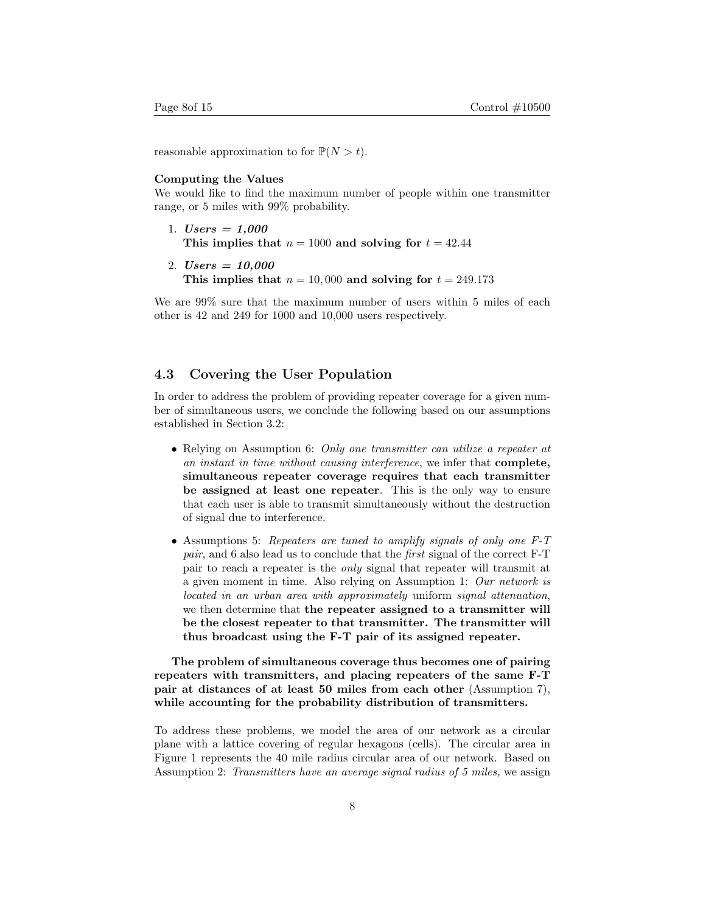reasonable approximation to for  $\mathbb{P}(N > t)$ .

#### Computing the Values

We would like to find the maximum number of people within one transmitter range, or 5 miles with 99% probability.

- 1. *Users* =  $1,000$ This implies that  $n = 1000$  and solving for  $t = 42.44$
- 2. *Users* =  $10,000$ This implies that  $n = 10,000$  and solving for  $t = 249.173$

We are 99% sure that the maximum number of users within 5 miles of each other is 42 and 249 for 1000 and 10,000 users respectively.

### 4.3 Covering the User Population

In order to address the problem of providing repeater coverage for a given number of simultaneous users, we conclude the following based on our assumptions established in Section 3.2:

- Relying on Assumption 6: Only one transmitter can utilize a repeater at an instant in time without causing interference, we infer that complete, simultaneous repeater coverage requires that each transmitter be assigned at least one repeater. This is the only way to ensure that each user is able to transmit simultaneously without the destruction of signal due to interference.
- Assumptions 5: Repeaters are tuned to amplify signals of only one F-T pair, and 6 also lead us to conclude that the first signal of the correct F-T pair to reach a repeater is the only signal that repeater will transmit at a given moment in time. Also relying on Assumption 1: Our network is located in an urban area with approximately uniform signal attenuation, we then determine that the repeater assigned to a transmitter will be the closest repeater to that transmitter. The transmitter will thus broadcast using the F-T pair of its assigned repeater.

The problem of simultaneous coverage thus becomes one of pairing repeaters with transmitters, and placing repeaters of the same F-T pair at distances of at least 50 miles from each other (Assumption 7), while accounting for the probability distribution of transmitters.

To address these problems, we model the area of our network as a circular plane with a lattice covering of regular hexagons (cells). The circular area in Figure 1 represents the 40 mile radius circular area of our network. Based on Assumption 2: Transmitters have an average signal radius of 5 miles, we assign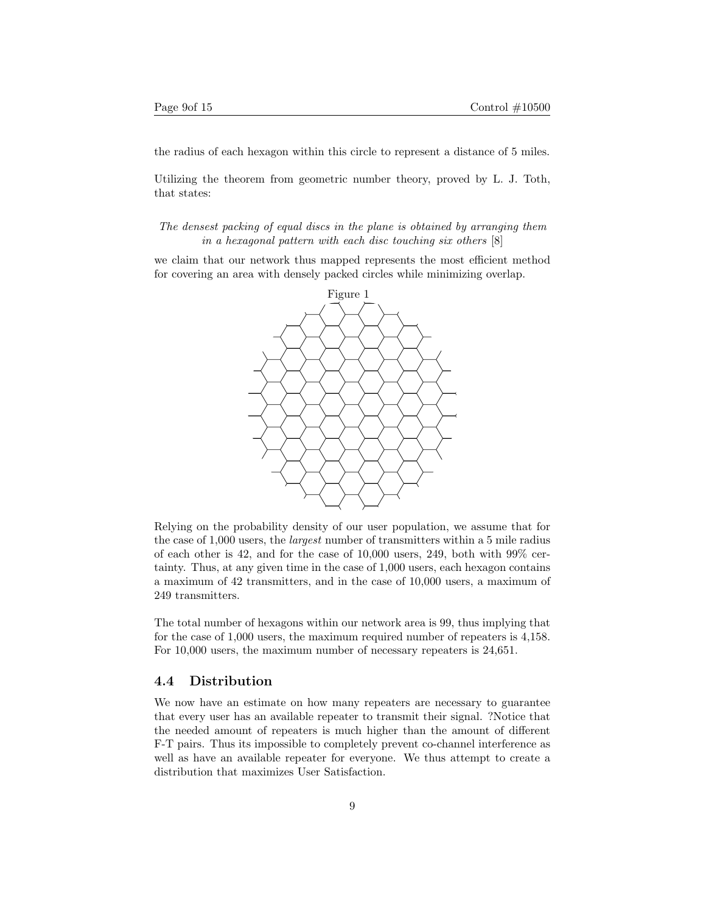the radius of each hexagon within this circle to represent a distance of 5 miles.

Utilizing the theorem from geometric number theory, proved by L. J. Toth, that states:

The densest packing of equal discs in the plane is obtained by arranging them in a hexagonal pattern with each disc touching six others [8]

we claim that our network thus mapped represents the most efficient method for covering an area with densely packed circles while minimizing overlap.



Relying on the probability density of our user population, we assume that for the case of 1,000 users, the largest number of transmitters within a 5 mile radius of each other is 42, and for the case of  $10,000$  users, 249, both with 99% certainty. Thus, at any given time in the case of 1,000 users, each hexagon contains a maximum of 42 transmitters, and in the case of 10,000 users, a maximum of 249 transmitters.

The total number of hexagons within our network area is 99, thus implying that for the case of 1,000 users, the maximum required number of repeaters is 4,158. For 10,000 users, the maximum number of necessary repeaters is 24,651.

#### 4.4 Distribution

We now have an estimate on how many repeaters are necessary to guarantee that every user has an available repeater to transmit their signal. ?Notice that the needed amount of repeaters is much higher than the amount of different F-T pairs. Thus its impossible to completely prevent co-channel interference as well as have an available repeater for everyone. We thus attempt to create a distribution that maximizes User Satisfaction.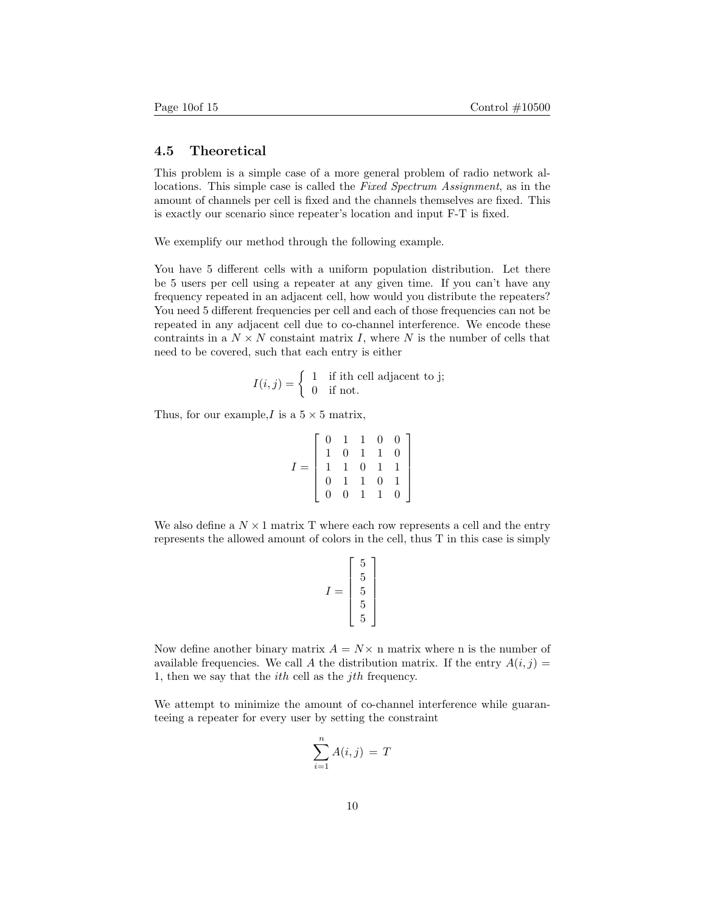### 4.5 Theoretical

This problem is a simple case of a more general problem of radio network allocations. This simple case is called the Fixed Spectrum Assignment, as in the amount of channels per cell is fixed and the channels themselves are fixed. This is exactly our scenario since repeater's location and input F-T is fixed.

We exemplify our method through the following example.

You have 5 different cells with a uniform population distribution. Let there be 5 users per cell using a repeater at any given time. If you can't have any frequency repeated in an adjacent cell, how would you distribute the repeaters? You need 5 different frequencies per cell and each of those frequencies can not be repeated in any adjacent cell due to co-channel interference. We encode these contraints in a  $N \times N$  constaint matrix I, where N is the number of cells that need to be covered, such that each entry is either

$$
I(i,j) = \begin{cases} 1 & \text{if ith cell adjacent to j;} \\ 0 & \text{if not.} \end{cases}
$$

Thus, for our example, I is a  $5 \times 5$  matrix,

$$
I = \left[ \begin{array}{rrrrr} 0 & 1 & 1 & 0 & 0 \\ 1 & 0 & 1 & 1 & 0 \\ 1 & 1 & 0 & 1 & 1 \\ 0 & 1 & 1 & 0 & 1 \\ 0 & 0 & 1 & 1 & 0 \end{array} \right]
$$

We also define a  $N \times 1$  matrix T where each row represents a cell and the entry represents the allowed amount of colors in the cell, thus T in this case is simply

$$
I = \left[\begin{array}{c} 5 \\ 5 \\ 5 \\ 5 \\ 5 \end{array}\right]
$$

Now define another binary matrix  $A = N \times n$  matrix where n is the number of available frequencies. We call A the distribution matrix. If the entry  $A(i, j) =$ 1, then we say that the ith cell as the jth frequency.

We attempt to minimize the amount of co-channel interference while guaranteeing a repeater for every user by setting the constraint

$$
\sum_{i=1}^{n} A(i,j) = T
$$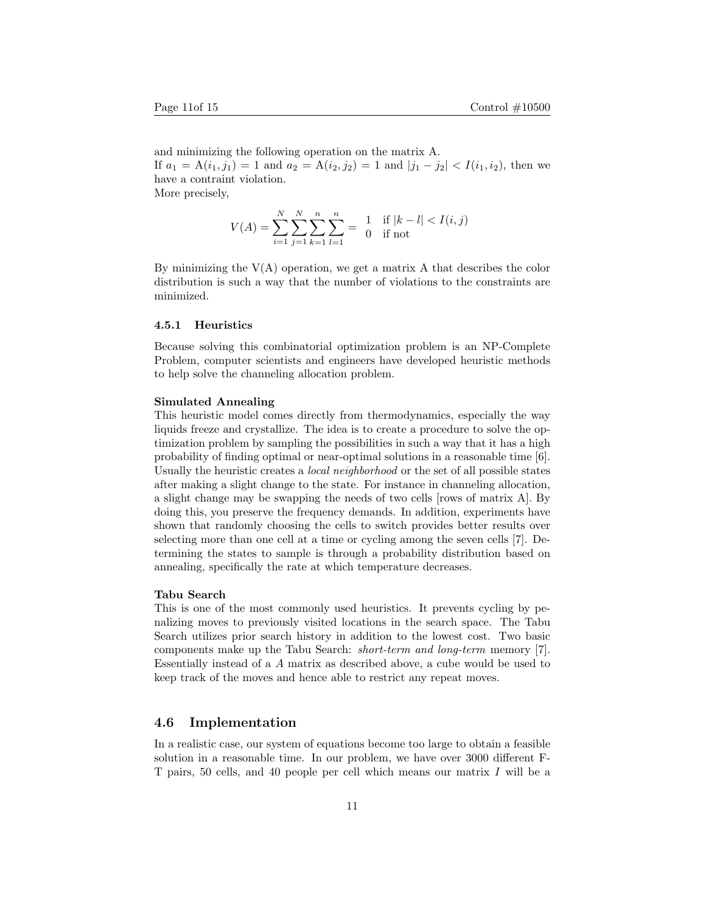and minimizing the following operation on the matrix A. If  $a_1 = A(i_1, j_1) = 1$  and  $a_2 = A(i_2, j_2) = 1$  and  $|j_1 - j_2| < I(i_1, i_2)$ , then we have a contraint violation. More precisely,

$$
V(A) = \sum_{i=1}^{N} \sum_{j=1}^{N} \sum_{k=1}^{n} \sum_{l=1}^{n} = \begin{cases} 1 & \text{if } |k-l| < I(i,j) \\ 0 & \text{if not} \end{cases}
$$

By minimizing the  $V(A)$  operation, we get a matrix A that describes the color distribution is such a way that the number of violations to the constraints are minimized.

#### 4.5.1 Heuristics

Because solving this combinatorial optimization problem is an NP-Complete Problem, computer scientists and engineers have developed heuristic methods to help solve the channeling allocation problem.

#### Simulated Annealing

This heuristic model comes directly from thermodynamics, especially the way liquids freeze and crystallize. The idea is to create a procedure to solve the optimization problem by sampling the possibilities in such a way that it has a high probability of finding optimal or near-optimal solutions in a reasonable time [6]. Usually the heuristic creates a local neighborhood or the set of all possible states after making a slight change to the state. For instance in channeling allocation, a slight change may be swapping the needs of two cells [rows of matrix A]. By doing this, you preserve the frequency demands. In addition, experiments have shown that randomly choosing the cells to switch provides better results over selecting more than one cell at a time or cycling among the seven cells [7]. Determining the states to sample is through a probability distribution based on annealing, specifically the rate at which temperature decreases.

#### Tabu Search

This is one of the most commonly used heuristics. It prevents cycling by penalizing moves to previously visited locations in the search space. The Tabu Search utilizes prior search history in addition to the lowest cost. Two basic components make up the Tabu Search: short-term and long-term memory [7]. Essentially instead of a A matrix as described above, a cube would be used to keep track of the moves and hence able to restrict any repeat moves.

### 4.6 Implementation

In a realistic case, our system of equations become too large to obtain a feasible solution in a reasonable time. In our problem, we have over 3000 different F-T pairs, 50 cells, and 40 people per cell which means our matrix I will be a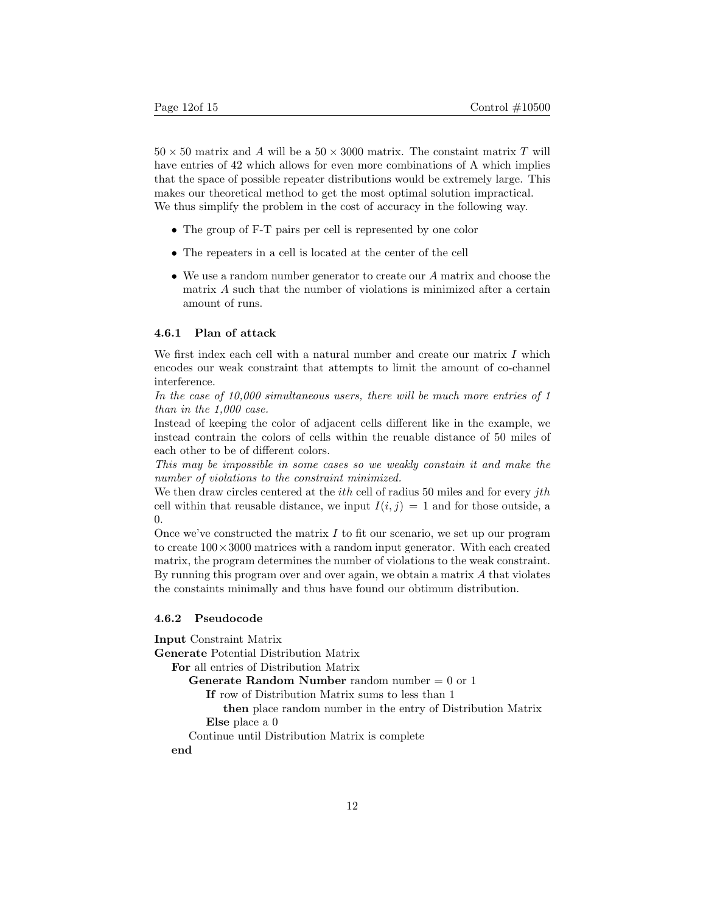$50 \times 50$  matrix and A will be a  $50 \times 3000$  matrix. The constaint matrix T will have entries of 42 which allows for even more combinations of A which implies that the space of possible repeater distributions would be extremely large. This makes our theoretical method to get the most optimal solution impractical. We thus simplify the problem in the cost of accuracy in the following way.

- The group of F-T pairs per cell is represented by one color
- The repeaters in a cell is located at the center of the cell
- We use a random number generator to create our A matrix and choose the matrix A such that the number of violations is minimized after a certain amount of runs.

#### 4.6.1 Plan of attack

We first index each cell with a natural number and create our matrix  $I$  which encodes our weak constraint that attempts to limit the amount of co-channel interference.

In the case of 10,000 simultaneous users, there will be much more entries of 1 than in the 1,000 case.

Instead of keeping the color of adjacent cells different like in the example, we instead contrain the colors of cells within the reuable distance of 50 miles of each other to be of different colors.

This may be impossible in some cases so we weakly constain it and make the number of violations to the constraint minimized.

We then draw circles centered at the *i*th cell of radius 50 miles and for every *jth* cell within that reusable distance, we input  $I(i, j) = 1$  and for those outside, a 0.

Once we've constructed the matrix  $I$  to fit our scenario, we set up our program to create  $100 \times 3000$  matrices with a random input generator. With each created matrix, the program determines the number of violations to the weak constraint. By running this program over and over again, we obtain a matrix A that violates the constaints minimally and thus have found our obtimum distribution.

#### 4.6.2 Pseudocode

Input Constraint Matrix Generate Potential Distribution Matrix For all entries of Distribution Matrix **Generate Random Number** random number  $= 0$  or 1 If row of Distribution Matrix sums to less than 1 then place random number in the entry of Distribution Matrix Else place a 0 Continue until Distribution Matrix is complete end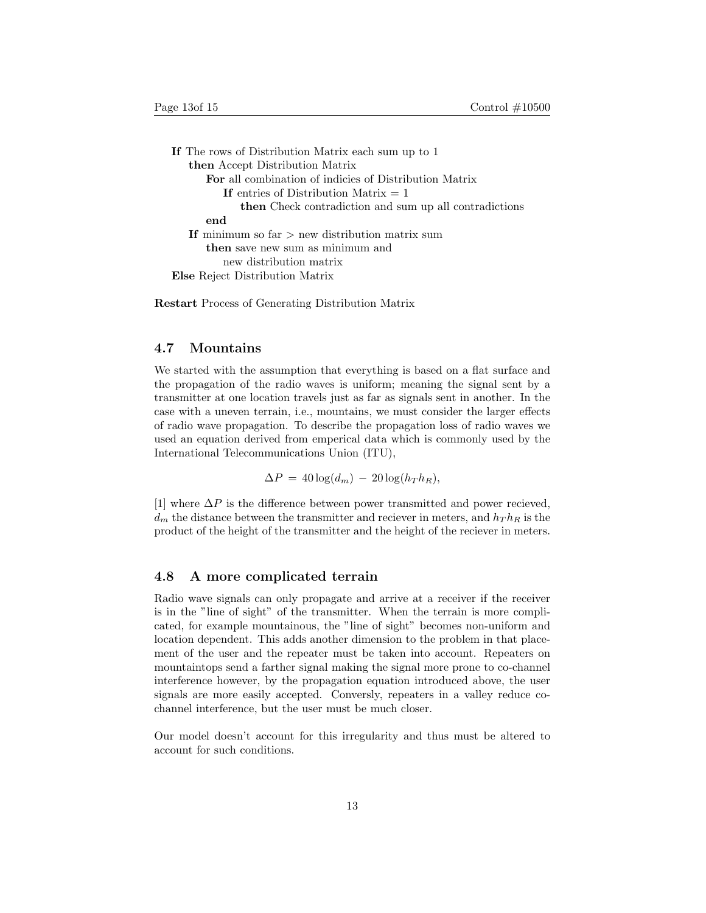| If The rows of Distribution Matrix each sum up to 1           |
|---------------------------------------------------------------|
| then Accept Distribution Matrix                               |
| <b>For</b> all combination of indicies of Distribution Matrix |
| If entries of Distribution Matrix $= 1$                       |
| <b>then</b> Check contradiction and sum up all contradictions |
| end                                                           |
| If minimum so far $>$ new distribution matrix sum             |
| then save new sum as minimum and                              |
| new distribution matrix                                       |
| <b>Else</b> Reject Distribution Matrix                        |

Restart Process of Generating Distribution Matrix

## 4.7 Mountains

We started with the assumption that everything is based on a flat surface and the propagation of the radio waves is uniform; meaning the signal sent by a transmitter at one location travels just as far as signals sent in another. In the case with a uneven terrain, i.e., mountains, we must consider the larger effects of radio wave propagation. To describe the propagation loss of radio waves we used an equation derived from emperical data which is commonly used by the International Telecommunications Union (ITU),

 $\Delta P = 40 \log(d_m) - 20 \log(h_T h_R),$ 

[1] where  $\Delta P$  is the difference between power transmitted and power recieved,  $d_m$  the distance between the transmitter and reciever in meters, and  $h_T h_R$  is the product of the height of the transmitter and the height of the reciever in meters.

#### 4.8 A more complicated terrain

Radio wave signals can only propagate and arrive at a receiver if the receiver is in the "line of sight" of the transmitter. When the terrain is more complicated, for example mountainous, the "line of sight" becomes non-uniform and location dependent. This adds another dimension to the problem in that placement of the user and the repeater must be taken into account. Repeaters on mountaintops send a farther signal making the signal more prone to co-channel interference however, by the propagation equation introduced above, the user signals are more easily accepted. Conversly, repeaters in a valley reduce cochannel interference, but the user must be much closer.

Our model doesn't account for this irregularity and thus must be altered to account for such conditions.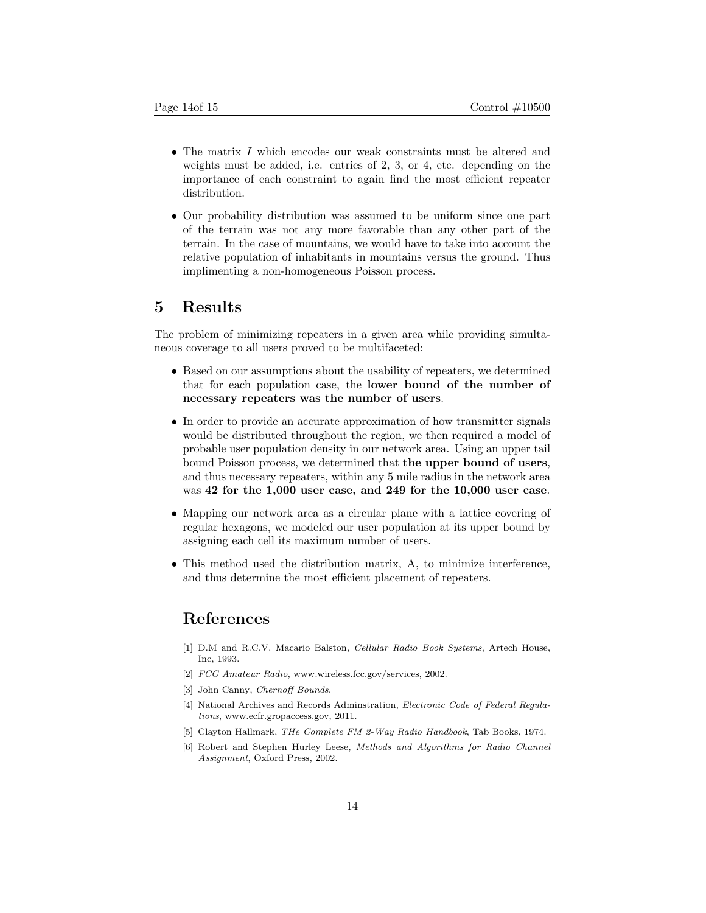- The matrix I which encodes our weak constraints must be altered and weights must be added, i.e. entries of 2, 3, or 4, etc. depending on the importance of each constraint to again find the most efficient repeater distribution.
- Our probability distribution was assumed to be uniform since one part of the terrain was not any more favorable than any other part of the terrain. In the case of mountains, we would have to take into account the relative population of inhabitants in mountains versus the ground. Thus implimenting a non-homogeneous Poisson process.

## 5 Results

The problem of minimizing repeaters in a given area while providing simultaneous coverage to all users proved to be multifaceted:

- Based on our assumptions about the usability of repeaters, we determined that for each population case, the lower bound of the number of necessary repeaters was the number of users.
- In order to provide an accurate approximation of how transmitter signals would be distributed throughout the region, we then required a model of probable user population density in our network area. Using an upper tail bound Poisson process, we determined that the upper bound of users, and thus necessary repeaters, within any 5 mile radius in the network area was 42 for the 1,000 user case, and 249 for the 10,000 user case.
- Mapping our network area as a circular plane with a lattice covering of regular hexagons, we modeled our user population at its upper bound by assigning each cell its maximum number of users.
- This method used the distribution matrix, A, to minimize interference, and thus determine the most efficient placement of repeaters.

## References

- [1] D.M and R.C.V. Macario Balston, Cellular Radio Book Systems, Artech House, Inc, 1993.
- [2] FCC Amateur Radio, www.wireless.fcc.gov/services, 2002.
- [3] John Canny, Chernoff Bounds.
- [4] National Archives and Records Adminstration, Electronic Code of Federal Regulations, www.ecfr.gropaccess.gov, 2011.
- [5] Clayton Hallmark, *THe Complete FM 2-Way Radio Handbook*, Tab Books, 1974.
- [6] Robert and Stephen Hurley Leese, Methods and Algorithms for Radio Channel Assignment, Oxford Press, 2002.